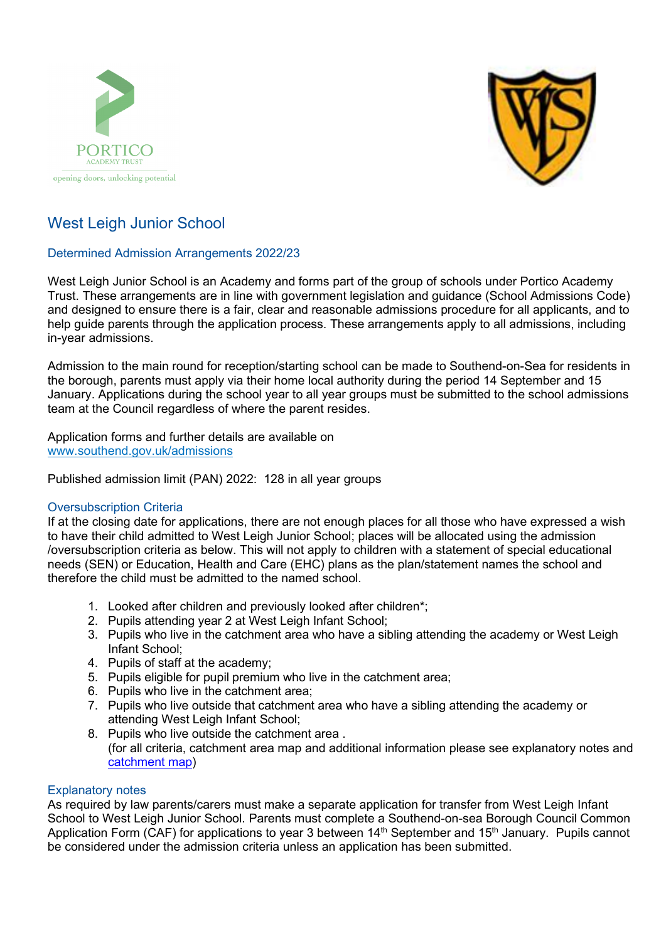



# West Leigh Junior School

# Determined Admission Arrangements 2022/23

West Leigh Junior School is an Academy and forms part of the group of schools under Portico Academy Trust. These arrangements are in line with government legislation and guidance (School Admissions Code) and designed to ensure there is a fair, clear and reasonable admissions procedure for all applicants, and to help guide parents through the application process. These arrangements apply to all admissions, including in-year admissions.

Admission to the main round for reception/starting school can be made to Southend-on-Sea for residents in the borough, parents must apply via their home local authority during the period 14 September and 15 January. Applications during the school year to all year groups must be submitted to the school admissions team at the Council regardless of where the parent resides.

Application forms and further details are available on [www.southend.gov.uk/admissions](http://www.southend.gov.uk/admissions) 

Published admission limit (PAN) 2022: 128 in all year groups

# Oversubscription Criteria

If at the closing date for applications, there are not enough places for all those who have expressed a wish to have their child admitted to West Leigh Junior School; places will be allocated using the admission /oversubscription criteria as below. This will not apply to children with a statement of special educational needs (SEN) or Education, Health and Care (EHC) plans as the plan/statement names the school and therefore the child must be admitted to the named school.

- 1. Looked after children and previously looked after children\*;
- 2. Pupils attending year 2 at West Leigh Infant School;
- 3. Pupils who live in the catchment area who have a sibling attending the academy or West Leigh Infant School;
- 4. Pupils of staff at the academy;
- 5. Pupils eligible for pupil premium who live in the catchment area;
- 6. Pupils who live in the catchment area;
- 7. Pupils who live outside that catchment area who have a sibling attending the academy or attending West Leigh Infant School;
- 8. Pupils who live outside the catchment area . (for all criteria, catchment area map and additional information please see explanatory notes and [catchment map\)](https://school-catchment-areas-southend.hub.arcgis.com/)

# Explanatory notes

As required by law parents/carers must make a separate application for transfer from West Leigh Infant School to West Leigh Junior School. Parents must complete a Southend-on-sea Borough Council Common Application Form (CAF) for applications to year 3 between  $14<sup>th</sup>$  September and  $15<sup>th</sup>$  January. Pupils cannot be considered under the admission criteria unless an application has been submitted.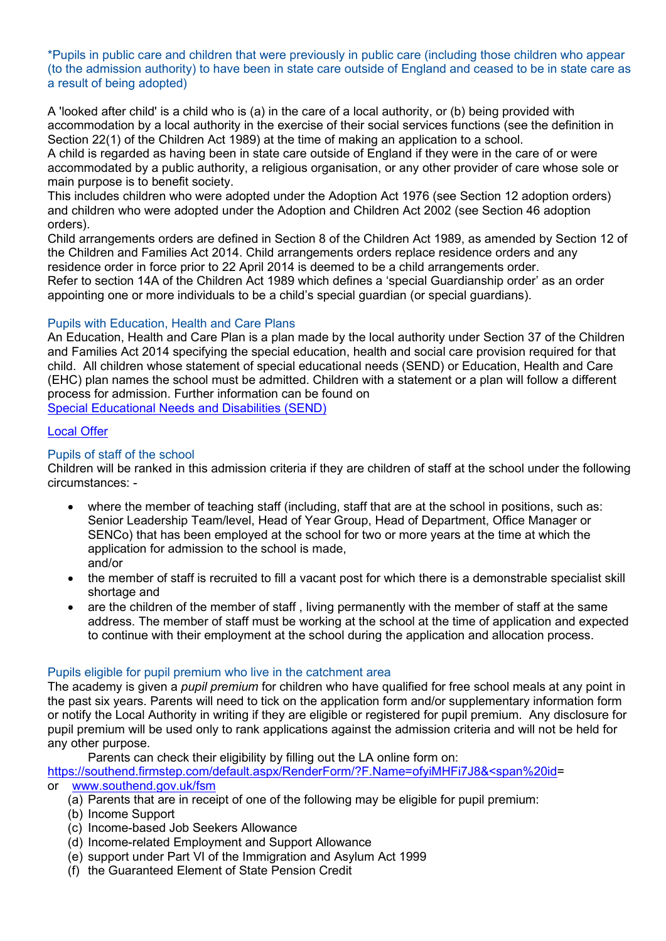\*Pupils in public care and children that were previously in public care (including those children who appear (to the admission authority) to have been in state care outside of England and ceased to be in state care as a result of being adopted)

A 'looked after child' is a child who is (a) in the care of a local authority, or (b) being provided with accommodation by a local authority in the exercise of their social services functions (see the definition in Section 22(1) of the Children Act 1989) at the time of making an application to a school.

A child is regarded as having been in state care outside of England if they were in the care of or were accommodated by a public authority, a religious organisation, or any other provider of care whose sole or main purpose is to benefit society.

This includes children who were adopted under the Adoption Act 1976 (see Section 12 adoption orders) and children who were adopted under the Adoption and Children Act 2002 (see Section 46 adoption orders).

Child arrangements orders are defined in Section 8 of the Children Act 1989, as amended by Section 12 of the Children and Families Act 2014. Child arrangements orders replace residence orders and any residence order in force prior to 22 April 2014 is deemed to be a child arrangements order. Refer to section 14A of the Children Act 1989 which defines a 'special Guardianship order' as an order appointing one or more individuals to be a child's special guardian (or special guardians).

# Pupils with Education, Health and Care Plans

An Education, Health and Care Plan is a plan made by the local authority under Section 37 of the Children and Families Act 2014 specifying the special education, health and social care provision required for that child. All children whose statement of special educational needs (SEND) or Education, Health and Care (EHC) plan names the school must be admitted. Children with a statement or a plan will follow a different process for admission. Further information can be found on [Special Educational Needs and Disabilities \(SEND\)](https://www.southend.gov.uk/children-disabilities/special-educational-needs)

# [Local Offer](https://livewellsouthend.com/kb5/southendonsea/directory/localoffer.page?localofferchannel=0)

# Pupils of staff of the school

Children will be ranked in this admission criteria if they are children of staff at the school under the following circumstances: -

- where the member of teaching staff (including, staff that are at the school in positions, such as: Senior Leadership Team/level, Head of Year Group, Head of Department, Office Manager or SENCo) that has been employed at the school for two or more years at the time at which the application for admission to the school is made, and/or
- the member of staff is recruited to fill a vacant post for which there is a demonstrable specialist skill shortage and
- are the children of the member of staff , living permanently with the member of staff at the same address. The member of staff must be working at the school at the time of application and expected to continue with their employment at the school during the application and allocation process.

#### Pupils eligible for pupil premium who live in the catchment area

The academy is given a *pupil premium* for children who have qualified for free school meals at any point in the past six years. Parents will need to tick on the application form and/or supplementary information form or notify the Local Authority in writing if they are eligible or registered for pupil premium. Any disclosure for pupil premium will be used only to rank applications against the admission criteria and will not be held for any other purpose.

Parents can check their eligibility by filling out the LA online form on:

[https://southend.firmstep.com/default.aspx/RenderForm/?F.Name=ofyiMHFi7J8&<span%20id=](https://southend.firmstep.com/default.aspx/RenderForm/?F.Name=ofyiMHFi7J8&%3cspan%20id) or [www.southend.gov.uk/fsm](http://www.southend.gov.uk/fsm) 

- (a) Parents that are in receipt of one of the following may be eligible for pupil premium:
- (b) Income Support
- (c) Income-based Job Seekers Allowance
- (d) Income-related Employment and Support Allowance
- (e) support under Part VI of the Immigration and Asylum Act 1999
- (f) the Guaranteed Element of State Pension Credit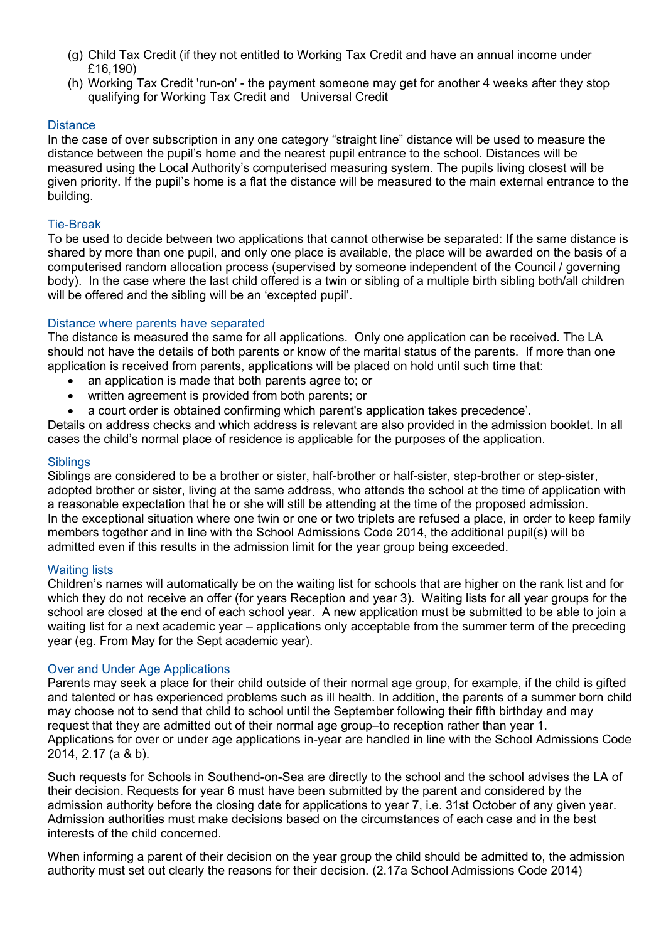- (g) Child Tax Credit (if they not entitled to Working Tax Credit and have an annual income under £16,190)
- (h) Working Tax Credit 'run-on' the payment someone may get for another 4 weeks after they stop qualifying for Working Tax Credit and Universal Credit

# **Distance**

In the case of over subscription in any one category "straight line" distance will be used to measure the distance between the pupil's home and the nearest pupil entrance to the school. Distances will be measured using the Local Authority's computerised measuring system. The pupils living closest will be given priority. If the pupil's home is a flat the distance will be measured to the main external entrance to the building.

#### Tie-Break

To be used to decide between two applications that cannot otherwise be separated: If the same distance is shared by more than one pupil, and only one place is available, the place will be awarded on the basis of a computerised random allocation process (supervised by someone independent of the Council / governing body). In the case where the last child offered is a twin or sibling of a multiple birth sibling both/all children will be offered and the sibling will be an 'excepted pupil'.

### Distance where parents have separated

The distance is measured the same for all applications. Only one application can be received. The LA should not have the details of both parents or know of the marital status of the parents. If more than one application is received from parents, applications will be placed on hold until such time that:

- an application is made that both parents agree to; or
- written agreement is provided from both parents; or
- a court order is obtained confirming which parent's application takes precedence'.

Details on address checks and which address is relevant are also provided in the admission booklet. In all cases the child's normal place of residence is applicable for the purposes of the application.

#### **Siblings**

Siblings are considered to be a brother or sister, half-brother or half-sister, step-brother or step-sister, adopted brother or sister, living at the same address, who attends the school at the time of application with a reasonable expectation that he or she will still be attending at the time of the proposed admission. In the exceptional situation where one twin or one or two triplets are refused a place, in order to keep family members together and in line with the School Admissions Code 2014, the additional pupil(s) will be admitted even if this results in the admission limit for the year group being exceeded.

#### Waiting lists

Children's names will automatically be on the waiting list for schools that are higher on the rank list and for which they do not receive an offer (for years Reception and year 3). Waiting lists for all year groups for the school are closed at the end of each school year. A new application must be submitted to be able to join a waiting list for a next academic year – applications only acceptable from the summer term of the preceding year (eg. From May for the Sept academic year).

#### Over and Under Age Applications

Parents may seek a place for their child outside of their normal age group, for example, if the child is gifted and talented or has experienced problems such as ill health. In addition, the parents of a summer born child may choose not to send that child to school until the September following their fifth birthday and may request that they are admitted out of their normal age group–to reception rather than year 1. Applications for over or under age applications in-year are handled in line with the School Admissions Code 2014, 2.17 (a & b).

Such requests for Schools in Southend-on-Sea are directly to the school and the school advises the LA of their decision. Requests for year 6 must have been submitted by the parent and considered by the admission authority before the closing date for applications to year 7, i.e. 31st October of any given year. Admission authorities must make decisions based on the circumstances of each case and in the best interests of the child concerned.

When informing a parent of their decision on the year group the child should be admitted to, the admission authority must set out clearly the reasons for their decision. (2.17a School Admissions Code 2014)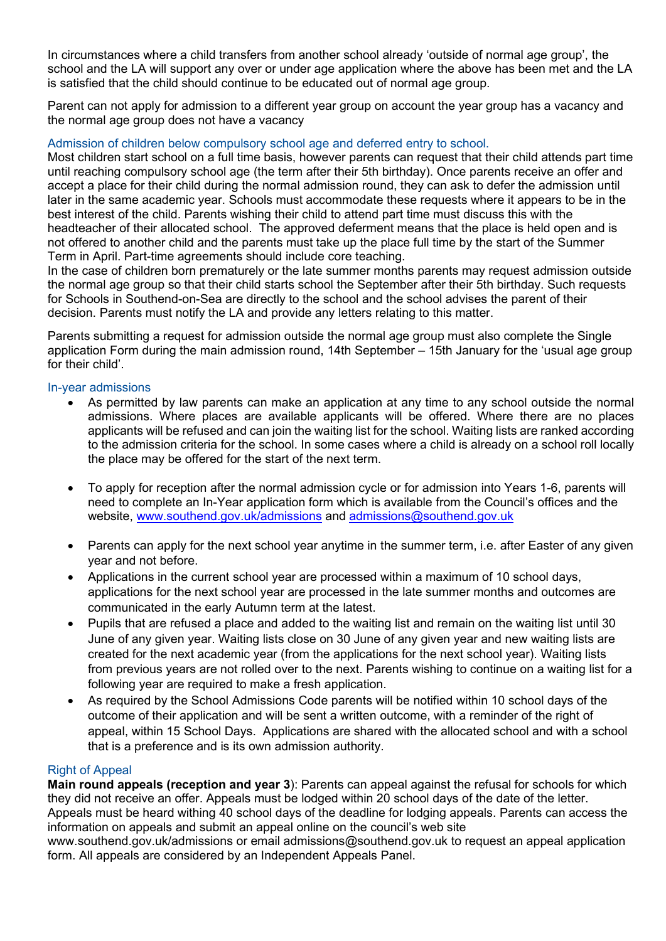In circumstances where a child transfers from another school already 'outside of normal age group', the school and the LA will support any over or under age application where the above has been met and the LA is satisfied that the child should continue to be educated out of normal age group.

Parent can not apply for admission to a different year group on account the year group has a vacancy and the normal age group does not have a vacancy

# Admission of children below compulsory school age and deferred entry to school.

Most children start school on a full time basis, however parents can request that their child attends part time until reaching compulsory school age (the term after their 5th birthday). Once parents receive an offer and accept a place for their child during the normal admission round, they can ask to defer the admission until later in the same academic year. Schools must accommodate these requests where it appears to be in the best interest of the child. Parents wishing their child to attend part time must discuss this with the headteacher of their allocated school. The approved deferment means that the place is held open and is not offered to another child and the parents must take up the place full time by the start of the Summer Term in April. Part-time agreements should include core teaching.

In the case of children born prematurely or the late summer months parents may request admission outside the normal age group so that their child starts school the September after their 5th birthday. Such requests for Schools in Southend-on-Sea are directly to the school and the school advises the parent of their decision. Parents must notify the LA and provide any letters relating to this matter.

Parents submitting a request for admission outside the normal age group must also complete the Single application Form during the main admission round, 14th September – 15th January for the 'usual age group for their child'.

#### In-year admissions

- As permitted by law parents can make an application at any time to any school outside the normal admissions. Where places are available applicants will be offered. Where there are no places applicants will be refused and can join the waiting list for the school. Waiting lists are ranked according to the admission criteria for the school. In some cases where a child is already on a school roll locally the place may be offered for the start of the next term.
- To apply for reception after the normal admission cycle or for admission into Years 1-6, parents will need to complete an In-Year application form which is available from the Council's offices and the website, [www.southend.gov.uk/admissions](http://www.southend.gov.uk/admissions) and admissions@southend.gov.uk
- Parents can apply for the next school year anytime in the summer term, i.e. after Easter of any given year and not before.
- Applications in the current school year are processed within a maximum of 10 school days, applications for the next school year are processed in the late summer months and outcomes are communicated in the early Autumn term at the latest.
- Pupils that are refused a place and added to the waiting list and remain on the waiting list until 30 June of any given year. Waiting lists close on 30 June of any given year and new waiting lists are created for the next academic year (from the applications for the next school year). Waiting lists from previous years are not rolled over to the next. Parents wishing to continue on a waiting list for a following year are required to make a fresh application.
- As required by the School Admissions Code parents will be notified within 10 school days of the outcome of their application and will be sent a written outcome, with a reminder of the right of appeal, within 15 School Days. Applications are shared with the allocated school and with a school that is a preference and is its own admission authority.

# Right of Appeal

**Main round appeals (reception and year 3**): Parents can appeal against the refusal for schools for which they did not receive an offer. Appeals must be lodged within 20 school days of the date of the letter.

Appeals must be heard withing 40 school days of the deadline for lodging appeals. Parents can access the information on appeals and submit an appeal online on the council's web site

www.southend.gov.uk/admissions or email admissions@southend.gov.uk to request an appeal application form. All appeals are considered by an Independent Appeals Panel.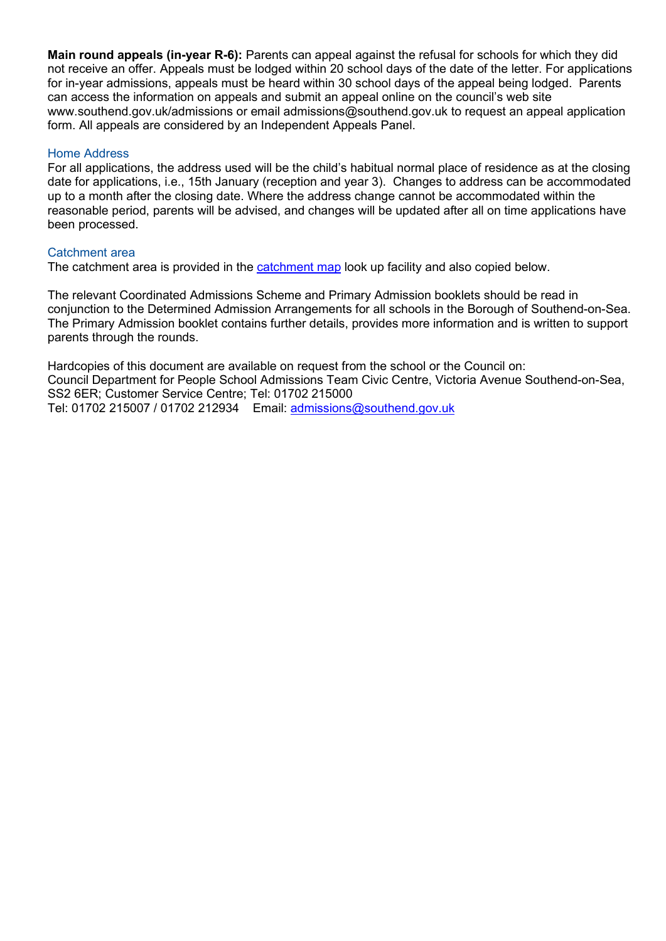**Main round appeals (in-year R-6):** Parents can appeal against the refusal for schools for which they did not receive an offer. Appeals must be lodged within 20 school days of the date of the letter. For applications for in-year admissions, appeals must be heard within 30 school days of the appeal being lodged. Parents can access the information on appeals and submit an appeal online on the council's web site www.southend.gov.uk/admissions or email admissions@southend.gov.uk to request an appeal application form. All appeals are considered by an Independent Appeals Panel.

## Home Address

For all applications, the address used will be the child's habitual normal place of residence as at the closing date for applications, i.e., 15th January (reception and year 3). Changes to address can be accommodated up to a month after the closing date. Where the address change cannot be accommodated within the reasonable period, parents will be advised, and changes will be updated after all on time applications have been processed.

### Catchment area

The catchment area is provided in the [catchment map](https://school-catchment-areas-southend.hub.arcgis.com/) look up facility and also copied below.

The relevant Coordinated Admissions Scheme and Primary Admission booklets should be read in conjunction to the Determined Admission Arrangements for all schools in the Borough of Southend-on-Sea. The Primary Admission booklet contains further details, provides more information and is written to support parents through the rounds.

Hardcopies of this document are available on request from the school or the Council on: Council Department for People School Admissions Team Civic Centre, Victoria Avenue Southend-on-Sea, SS2 6ER; Customer Service Centre; Tel: 01702 215000 Tel: 01702 215007 / 01702 212934 [Email: admissions@southend.gov.uk](mailto:admissions@southend.gov.uk)